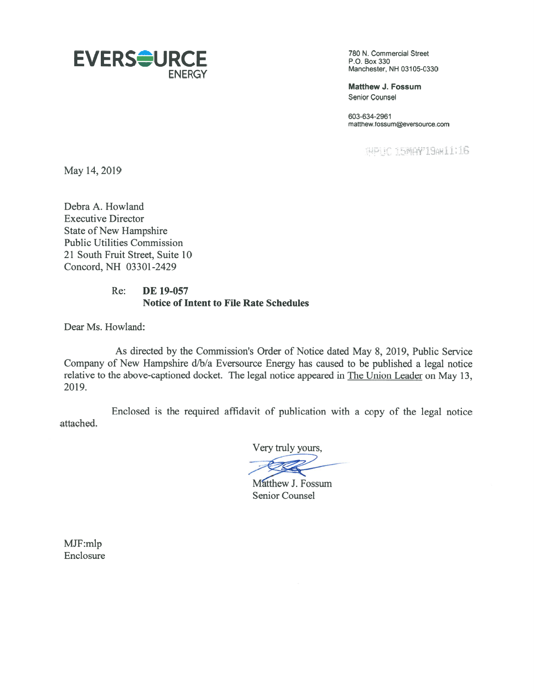

Matthew J. Fossum Senior Counsel

603-634-2961 matthew.fossum@eversource.com

HPHC 15MAY19AN11:16

May 14, 2019

Debra A. Howland Executive Director State of New Hampshire Public Utilities Commission 21 South Fruit Street, Suite 10 Concord, NH 03301-2429

## Re: DE 19-057 Notice of Intent to file Rate Schedules

Dear Ms. Howland:

As directed by the Commission's Order of Notice dated May 8, 2019, Public Service Company of New Rampshire d/b/a Eversource Energy has caused to be published <sup>a</sup> legal notice relative to the above-captioned docket. The legal notice appeared in The Union Leader on May 13, 2019.

Enclosed is the required affidavit of publication with <sup>a</sup> copy of the legal notice attached.

Very truly yours,

Matthew J. Fossum Senior Counsel

MJf:mlp Enclosure